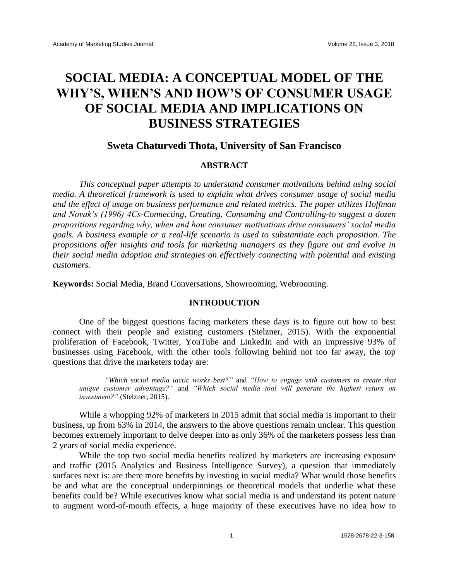# **SOCIAL MEDIA: A CONCEPTUAL MODEL OF THE WHY'S, WHEN'S AND HOW'S OF CONSUMER USAGE OF SOCIAL MEDIA AND IMPLICATIONS ON BUSINESS STRATEGIES**

# **Sweta Chaturvedi Thota, University of San Francisco**

# **ABSTRACT**

*This conceptual paper attempts to understand consumer motivations behind using social media. A theoretical framework is used to explain what drives consumer usage of social media and the effect of usage on business performance and related metrics. The paper utilizes Hoffman and Novak's (1996) 4Cs-Connecting, Creating, Consuming and Controlling-to suggest a dozen propositions regarding why, when and how consumer motivations drive consumers' social media goals. A business example or a real-life scenario is used to substantiate each proposition. The propositions offer insights and tools for marketing managers as they figure out and evolve in their social media adoption and strategies on effectively connecting with potential and existing customers.*

**Keywords:** Social Media, Brand Conversations, Showrooming, Webrooming.

# **INTRODUCTION**

One of the biggest questions facing marketers these days is to figure out how to best connect with their people and existing customers (Stelzner, 2015). With the exponential proliferation of Facebook, Twitter, YouTube and LinkedIn and with an impressive 93% of businesses using Facebook, with the other tools following behind not too far away, the top questions that drive the marketers today are:

"*Which social media tactic works best?"* and *"How to engage with customers to create that unique customer advantage?"* and *"Which social media tool will generate the highest return on investment?"* (Stelzner, 2015).

While a whopping 92% of marketers in 2015 admit that social media is important to their business, up from 63% in 2014, the answers to the above questions remain unclear. This question becomes extremely important to delve deeper into as only 36% of the marketers possess less than 2 years of social media experience.

While the top two social media benefits realized by marketers are increasing exposure and traffic (2015 Analytics and Business Intelligence Survey), a question that immediately surfaces next is: are there more benefits by investing in social media? What would those benefits be and what are the conceptual underpinnings or theoretical models that underlie what these benefits could be? While executives know what social media is and understand its potent nature to augment word-of-mouth effects, a huge majority of these executives have no idea how to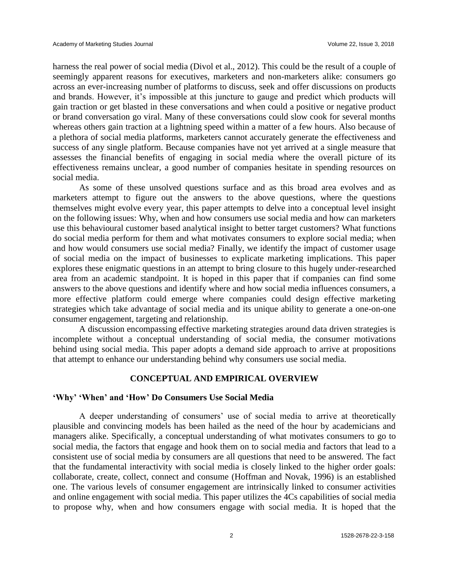harness the real power of social media (Divol et al., 2012). This could be the result of a couple of seemingly apparent reasons for executives, marketers and non-marketers alike: consumers go across an ever-increasing number of platforms to discuss, seek and offer discussions on products and brands. However, it's impossible at this juncture to gauge and predict which products will gain traction or get blasted in these conversations and when could a positive or negative product or brand conversation go viral. Many of these conversations could slow cook for several months whereas others gain traction at a lightning speed within a matter of a few hours. Also because of a plethora of social media platforms, marketers cannot accurately generate the effectiveness and success of any single platform. Because companies have not yet arrived at a single measure that assesses the financial benefits of engaging in social media where the overall picture of its effectiveness remains unclear, a good number of companies hesitate in spending resources on social media.

As some of these unsolved questions surface and as this broad area evolves and as marketers attempt to figure out the answers to the above questions, where the questions themselves might evolve every year, this paper attempts to delve into a conceptual level insight on the following issues: Why, when and how consumers use social media and how can marketers use this behavioural customer based analytical insight to better target customers? What functions do social media perform for them and what motivates consumers to explore social media; when and how would consumers use social media? Finally, we identify the impact of customer usage of social media on the impact of businesses to explicate marketing implications. This paper explores these enigmatic questions in an attempt to bring closure to this hugely under-researched area from an academic standpoint. It is hoped in this paper that if companies can find some answers to the above questions and identify where and how social media influences consumers, a more effective platform could emerge where companies could design effective marketing strategies which take advantage of social media and its unique ability to generate a one-on-one consumer engagement, targeting and relationship.

A discussion encompassing effective marketing strategies around data driven strategies is incomplete without a conceptual understanding of social media, the consumer motivations behind using social media. This paper adopts a demand side approach to arrive at propositions that attempt to enhance our understanding behind why consumers use social media.

#### **CONCEPTUAL AND EMPIRICAL OVERVIEW**

#### **'Why' 'When' and 'How' Do Consumers Use Social Media**

A deeper understanding of consumers' use of social media to arrive at theoretically plausible and convincing models has been hailed as the need of the hour by academicians and managers alike. Specifically, a conceptual understanding of what motivates consumers to go to social media, the factors that engage and hook them on to social media and factors that lead to a consistent use of social media by consumers are all questions that need to be answered. The fact that the fundamental interactivity with social media is closely linked to the higher order goals: collaborate, create, collect, connect and consume (Hoffman and Novak, 1996) is an established one. The various levels of consumer engagement are intrinsically linked to consumer activities and online engagement with social media. This paper utilizes the 4Cs capabilities of social media to propose why, when and how consumers engage with social media. It is hoped that the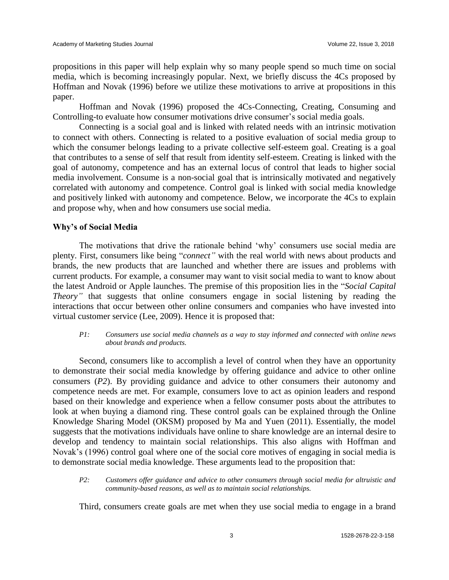propositions in this paper will help explain why so many people spend so much time on social media, which is becoming increasingly popular. Next, we briefly discuss the 4Cs proposed by Hoffman and Novak (1996) before we utilize these motivations to arrive at propositions in this paper.

Hoffman and Novak (1996) proposed the 4Cs-Connecting, Creating, Consuming and Controlling-to evaluate how consumer motivations drive consumer's social media goals.

Connecting is a social goal and is linked with related needs with an intrinsic motivation to connect with others. Connecting is related to a positive evaluation of social media group to which the consumer belongs leading to a private collective self-esteem goal. Creating is a goal that contributes to a sense of self that result from identity self-esteem. Creating is linked with the goal of autonomy, competence and has an external locus of control that leads to higher social media involvement. Consume is a non-social goal that is intrinsically motivated and negatively correlated with autonomy and competence. Control goal is linked with social media knowledge and positively linked with autonomy and competence. Below, we incorporate the 4Cs to explain and propose why, when and how consumers use social media.

## **Why's of Social Media**

The motivations that drive the rationale behind 'why' consumers use social media are plenty. First, consumers like being "*connect"* with the real world with news about products and brands, the new products that are launched and whether there are issues and problems with current products. For example, a consumer may want to visit social media to want to know about the latest Android or Apple launches. The premise of this proposition lies in the "*Social Capital Theory*" that suggests that online consumers engage in social listening by reading the interactions that occur between other online consumers and companies who have invested into virtual customer service (Lee, 2009). Hence it is proposed that:

#### *P1: Consumers use social media channels as a way to stay informed and connected with online news about brands and products.*

Second, consumers like to accomplish a level of control when they have an opportunity to demonstrate their social media knowledge by offering guidance and advice to other online consumers (*P2*). By providing guidance and advice to other consumers their autonomy and competence needs are met. For example, consumers love to act as opinion leaders and respond based on their knowledge and experience when a fellow consumer posts about the attributes to look at when buying a diamond ring. These control goals can be explained through the Online Knowledge Sharing Model (OKSM) proposed by Ma and Yuen (2011). Essentially, the model suggests that the motivations individuals have online to share knowledge are an internal desire to develop and tendency to maintain social relationships. This also aligns with Hoffman and Novak's (1996) control goal where one of the social core motives of engaging in social media is to demonstrate social media knowledge. These arguments lead to the proposition that:

*P2: Customers offer guidance and advice to other consumers through social media for altruistic and community-based reasons, as well as to maintain social relationships.*

Third, consumers create goals are met when they use social media to engage in a brand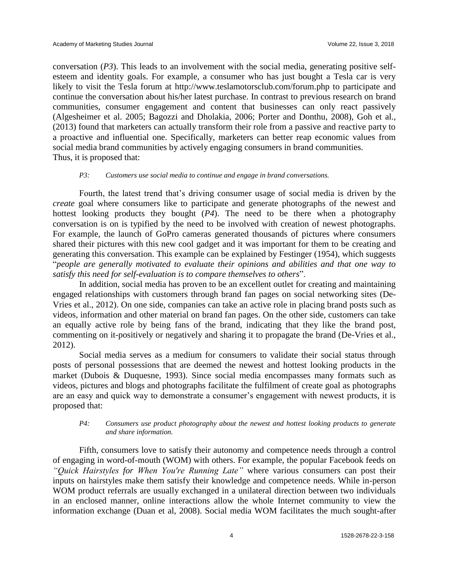conversation (*P3*). This leads to an involvement with the social media, generating positive selfesteem and identity goals. For example, a consumer who has just bought a Tesla car is very likely to visit the Tesla forum at<http://www.teslamotorsclub.com/forum.php> to participate and continue the conversation about his/her latest purchase. In contrast to previous research on brand communities, consumer engagement and content that businesses can only react passively (Algesheimer et al. 2005; Bagozzi and Dholakia, 2006; Porter and Donthu, 2008), Goh et al., (2013) found that marketers can actually transform their role from a passive and reactive party to a proactive and influential one. Specifically, marketers can better reap economic values from social media brand communities by actively engaging consumers in brand communities. Thus, it is proposed that:

#### *P3: Customers use social media to continue and engage in brand conversations.*

Fourth, the latest trend that's driving consumer usage of social media is driven by the *create* goal where consumers like to participate and generate photographs of the newest and hottest looking products they bought (*P4*). The need to be there when a photography conversation is on is typified by the need to be involved with creation of newest photographs. For example, the launch of GoPro cameras generated thousands of pictures where consumers shared their pictures with this new cool gadget and it was important for them to be creating and generating this conversation. This example can be explained by Festinger (1954), which suggests "*people are generally motivated to evaluate their opinions and abilities and that one way to satisfy this need for self-evaluation is to compare themselves to others*".

In addition, social media has proven to be an excellent outlet for creating and maintaining engaged relationships with customers through brand fan pages on social networking sites (De-Vries et al., 2012). On one side, companies can take an active role in placing brand posts such as videos, information and other material on brand fan pages. On the other side, customers can take an equally active role by being fans of the brand, indicating that they like the brand post, commenting on it-positively or negatively and sharing it to propagate the brand (De-Vries et al., 2012).

Social media serves as a medium for consumers to validate their social status through posts of personal possessions that are deemed the newest and hottest looking products in the market (Dubois & Duquesne, 1993). Since social media encompasses many formats such as videos, pictures and blogs and photographs facilitate the fulfilment of create goal as photographs are an easy and quick way to demonstrate a consumer's engagement with newest products, it is proposed that:

#### *P4: Consumers use product photography about the newest and hottest looking products to generate and share information.*

Fifth, consumers love to satisfy their autonomy and competence needs through a control of engaging in word-of-mouth (WOM) with others. For example, the popular Facebook feeds on *"Quick Hairstyles for When You're Running Late"* where various consumers can post their inputs on hairstyles make them satisfy their knowledge and competence needs. While in-person WOM product referrals are usually exchanged in a unilateral direction between two individuals in an enclosed manner, online interactions allow the whole Internet community to view the information exchange (Duan et al, 2008). Social media WOM facilitates the much sought-after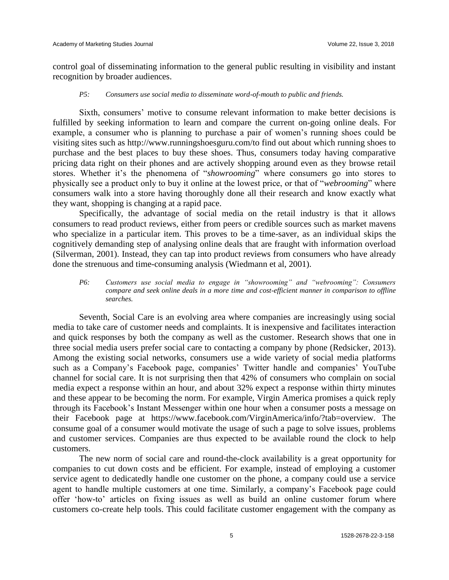control goal of disseminating information to the general public resulting in visibility and instant recognition by broader audiences.

#### *P5: Consumers use social media to disseminate word-of-mouth to public and friends.*

Sixth, consumers' motive to consume relevant information to make better decisions is fulfilled by seeking information to learn and compare the current on-going online deals. For example, a consumer who is planning to purchase a pair of women's running shoes could be visiting sites such as http://www.runningshoesguru.com/to find out about which running shoes to purchase and the best places to buy these shoes. Thus, consumers today having comparative pricing data right on their phones and are actively shopping around even as they browse retail stores. Whether it's the phenomena of "*showrooming*" where consumers go into stores to physically see a product only to buy it online at the lowest price, or that of "*webrooming*" where consumers walk into a store having thoroughly done all their research and know exactly what they want, shopping is changing at a rapid pace.

Specifically, the advantage of social media on the retail industry is that it allows consumers to read product reviews, either from peers or credible sources such as market mavens who specialize in a particular item. This proves to be a time-saver, as an individual skips the cognitively demanding step of analysing online deals that are fraught with information overload (Silverman, 2001). Instead, they can tap into product reviews from consumers who have already done the strenuous and time-consuming analysis (Wiedmann et al, 2001).

*P6: Customers use social media to engage in "showrooming" and "webrooming": Consumers compare and seek online deals in a more time and cost-efficient manner in comparison to offline searches.*

Seventh, Social Care is an evolving area where companies are increasingly using social media to take care of customer needs and complaints. It is inexpensive and facilitates interaction and quick responses by both the company as well as the customer. Research shows that one in three social media users prefer social care to contacting a company by phone (Redsicker, 2013). Among the existing social networks, consumers use a wide variety of social media platforms such as a Company's Facebook page, companies' Twitter handle and companies' YouTube channel for social care. It is not surprising then that 42% of consumers who complain on social media expect a response within an hour, and about 32% expect a response within thirty minutes and these appear to be becoming the norm. For example, Virgin America promises a quick reply through its Facebook's Instant Messenger within one hour when a consumer posts a message on their Facebook page at https://www.facebook.com/VirginAmerica/info/?tab=overview. The consume goal of a consumer would motivate the usage of such a page to solve issues, problems and customer services. Companies are thus expected to be available round the clock to help customers.

The new norm of social care and round-the-clock availability is a great opportunity for companies to cut down costs and be efficient. For example, instead of employing a customer service agent to dedicatedly handle one customer on the phone, a company could use a service agent to handle multiple customers at one time. Similarly, a company's Facebook page could offer 'how-to' articles on fixing issues as well as build an online customer forum where customers co-create help tools. This could facilitate customer engagement with the company as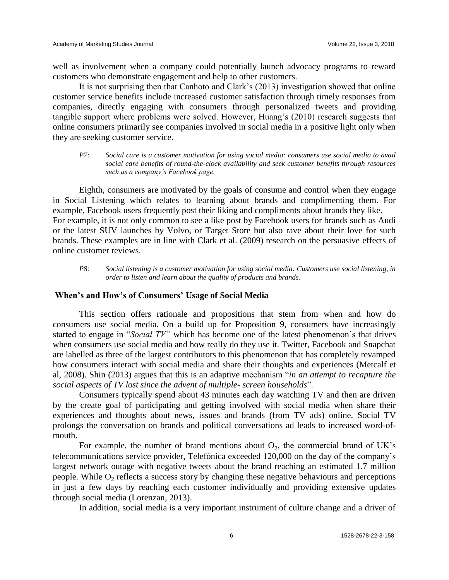well as involvement when a company could potentially launch advocacy programs to reward customers who demonstrate engagement and help to other customers.

It is not surprising then that Canhoto and Clark's (2013) investigation showed that online customer service benefits include increased customer satisfaction through timely responses from companies, directly engaging with consumers through personalized tweets and providing tangible support where problems were solved. However, Huang's (2010) research suggests that online consumers primarily see companies involved in social media in a positive light only when they are seeking customer service.

*P7: Social care is a customer motivation for using social media: consumers use social media to avail social care benefits of round-the-clock availability and seek customer benefits through resources such as a company's Facebook page.*

Eighth, consumers are motivated by the goals of consume and control when they engage in Social Listening which relates to learning about brands and complimenting them. For example, Facebook users frequently post their liking and compliments about brands they like. For example, it is not only common to see a like post by Facebook users for brands such as Audi or the latest SUV launches by Volvo, or Target Store but also rave about their love for such brands. These examples are in line with Clark et al. (2009) research on the persuasive effects of online customer reviews.

*P8: Social listening is a customer motivation for using social media: Customers use social listening, in order to listen and learn about the quality of products and brands.*

## **When's and How's of Consumers' Usage of Social Media**

This section offers rationale and propositions that stem from when and how do consumers use social media. On a build up for Proposition 9, consumers have increasingly started to engage in "*Social TV"* which has become one of the latest phenomenon's that drives when consumers use social media and how really do they use it. Twitter, Facebook and Snapchat are labelled as three of the largest contributors to this phenomenon that has completely revamped how consumers interact with social media and share their thoughts and experiences (Metcalf et al, 2008). Shin (2013) argues that this is an adaptive mechanism "*in an attempt to recapture the social aspects of TV lost since the advent of multiple- screen households*".

Consumers typically spend about 43 minutes each day watching TV and then are driven by the create goal of participating and getting involved with social media when share their experiences and thoughts about news, issues and brands (from TV ads) online. Social TV prolongs the conversation on brands and political conversations ad leads to increased word-ofmouth.

For example, the number of brand mentions about  $O_2$ , the commercial brand of UK's telecommunications service provider, Telefónica exceeded 120,000 on the day of the company's largest network outage with negative tweets about the brand reaching an estimated 1.7 million people. While  $O_2$  reflects a success story by changing these negative behaviours and perceptions in just a few days by reaching each customer individually and providing extensive updates through social media (Lorenzan, 2013).

In addition, social media is a very important instrument of culture change and a driver of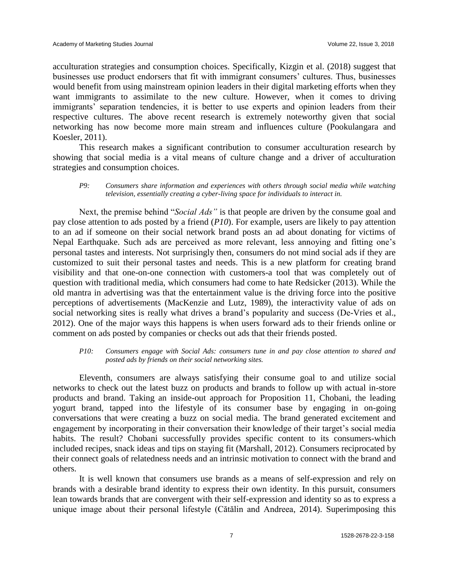acculturation strategies and consumption choices. Specifically, Kizgin et al. (2018) suggest that businesses use product endorsers that fit with immigrant consumers' cultures. Thus, businesses would benefit from using mainstream opinion leaders in their digital marketing efforts when they want immigrants to assimilate to the new culture. However, when it comes to driving immigrants' separation tendencies, it is better to use experts and opinion leaders from their respective cultures. The above recent research is extremely noteworthy given that social networking has now become more main stream and influences culture (Pookulangara and Koesler, 2011).

This research makes a significant contribution to consumer acculturation research by showing that social media is a vital means of culture change and a driver of acculturation strategies and consumption choices.

#### *P9: Consumers share information and experiences with others through social media while watching television, essentially creating a cyber-living space for individuals to interact in.*

Next, the premise behind "*Social Ads"* is that people are driven by the consume goal and pay close attention to ads posted by a friend (*P10*). For example, users are likely to pay attention to an ad if someone on their social network brand posts an ad about donating for victims of Nepal Earthquake. Such ads are perceived as more relevant, less annoying and fitting one's personal tastes and interests. Not surprisingly then, consumers do not mind social ads if they are customized to suit their personal tastes and needs. This is a new platform for creating brand visibility and that one-on-one connection with customers-a tool that was completely out of question with traditional media, which consumers had come to hate Redsicker (2013). While the old mantra in advertising was that the entertainment value is the driving force into the positive perceptions of advertisements (MacKenzie and Lutz, 1989), the interactivity value of ads on social networking sites is really what drives a brand's popularity and success (De-Vries et al., 2012). One of the major ways this happens is when users forward ads to their friends online or comment on ads posted by companies or checks out ads that their friends posted.

#### *P10: Consumers engage with Social Ads: consumers tune in and pay close attention to shared and posted ads by friends on their social networking sites.*

Eleventh, consumers are always satisfying their consume goal to and utilize social networks to check out the latest buzz on products and brands to follow up with actual in-store products and brand. Taking an inside-out approach for Proposition 11, Chobani, the leading yogurt brand, tapped into the lifestyle of its consumer base by engaging in on-going conversations that were creating a buzz on social media. The brand generated excitement and engagement by incorporating in their conversation their knowledge of their target's social media habits. The result? Chobani successfully provides specific content to its consumers-which included recipes, snack ideas and tips on staying fit (Marshall, 2012). Consumers reciprocated by their connect goals of relatedness needs and an intrinsic motivation to connect with the brand and others.

It is well known that consumers use brands as a means of self-expression and rely on brands with a desirable brand identity to express their own identity. In this pursuit, consumers lean towards brands that are convergent with their self-expression and identity so as to express a unique image about their personal lifestyle (Cătălin and Andreea, 2014). Superimposing this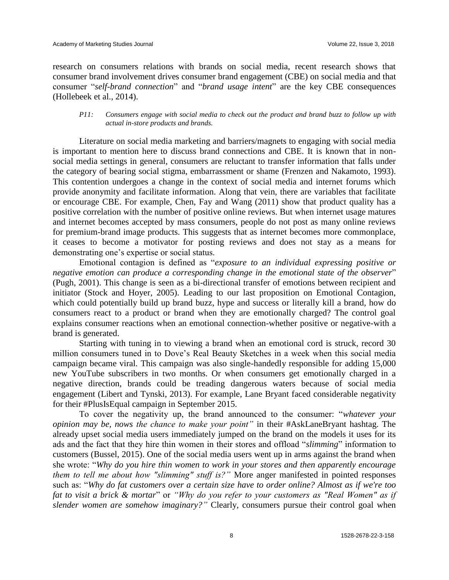research on consumers relations with brands on social media, recent research shows that consumer brand involvement drives consumer brand engagement (CBE) on social media and that consumer "*self-brand connection*" and "*brand usage intent*" are the key CBE consequences (Hollebeek et al., 2014).

#### *P11: Consumers engage with social media to check out the product and brand buzz to follow up with actual in-store products and brands.*

Literature on social media marketing and barriers/magnets to engaging with social media is important to mention here to discuss brand connections and CBE. It is known that in nonsocial media settings in general, consumers are reluctant to transfer information that falls under the category of bearing social stigma, embarrassment or shame (Frenzen and Nakamoto, 1993). This contention undergoes a change in the context of social media and internet forums which provide anonymity and facilitate information. Along that vein, there are variables that facilitate or encourage CBE. For example, Chen, Fay and Wang (2011) show that product quality has a positive correlation with the number of positive online reviews. But when internet usage matures and internet becomes accepted by mass consumers, people do not post as many online reviews for premium-brand image products. This suggests that as internet becomes more commonplace, it ceases to become a motivator for posting reviews and does not stay as a means for demonstrating one's expertise or social status.

Emotional contagion is defined as "*exposure to an individual expressing positive or negative emotion can produce a corresponding change in the emotional state of the observer*" (Pugh, 2001). This change is seen as a bi-directional transfer of emotions between recipient and initiator (Stock and Hoyer, 2005). Leading to our last proposition on Emotional Contagion, which could potentially build up brand buzz, hype and success or literally kill a brand, how do consumers react to a product or brand when they are emotionally charged? The control goal explains consumer reactions when an emotional connection-whether positive or negative-with a brand is generated.

Starting with tuning in to viewing a brand when an emotional cord is struck, record 30 million consumers tuned in to Dove's Real Beauty Sketches in a week when this social media campaign became viral. This campaign was also single-handedly responsible for adding 15,000 new YouTube subscribers in two months. Or when consumers get emotionally charged in a negative direction, brands could be treading dangerous waters because of social media engagement (Libert and Tynski, 2013). For example, Lane Bryant faced considerable negativity for their #PlusIsEqual campaign in September 2015.

To cover the negativity up, the brand announced to the consumer: "*whatever your opinion may be, nows the chance to make your point"* in their #AskLaneBryant hashtag. The already upset social media users immediately jumped on the brand on the models it uses for its ads and the fact that they hire thin women in their stores and offload "*slimming*" information to customers (Bussel, 2015). One of the social media users went up in arms against the brand when she wrote: "*Why do you hire thin women to work in your stores and then apparently encourage them to tell me about how "slimming" stuff is?"* More anger manifested in pointed responses such as: "*Why do fat customers over a certain size have to order online? Almost as if we're too fat to visit a brick & mortar*" or *"Why do you refer to your customers as "Real Women" as if slender women are somehow imaginary?"* Clearly, consumers pursue their control goal when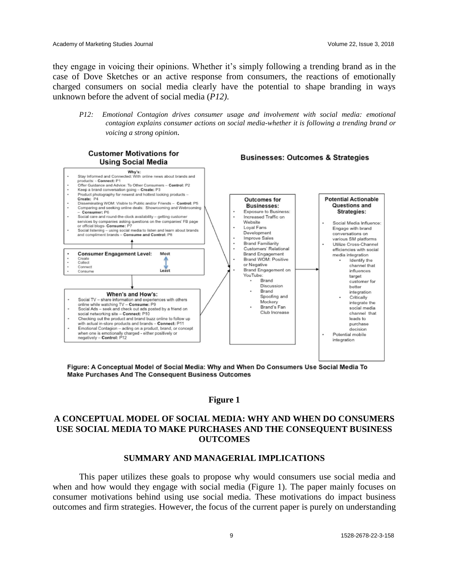they engage in voicing their opinions. Whether it's simply following a trending brand as in the case of Dove Sketches or an active response from consumers, the reactions of emotionally charged consumers on social media clearly have the potential to shape branding in ways unknown before the advent of social media (*P12)*.

*P12: Emotional Contagion drives consumer usage and involvement with social media: emotional contagion explains consumer actions on social media-whether it is following a trending brand or voicing a strong opinion.*

**Businesses: Outcomes & Strategies** 

#### **Customer Motivations for Using Social Media**



Figure: A Conceptual Model of Social Media: Why and When Do Consumers Use Social Media To Make Purchases And The Consequent Business Outcomes

## **Figure 1**

# **A CONCEPTUAL MODEL OF SOCIAL MEDIA: WHY AND WHEN DO CONSUMERS USE SOCIAL MEDIA TO MAKE PURCHASES AND THE CONSEQUENT BUSINESS OUTCOMES**

#### **SUMMARY AND MANAGERIAL IMPLICATIONS**

This paper utilizes these goals to propose why would consumers use social media and when and how would they engage with social media (Figure 1). The paper mainly focuses on consumer motivations behind using use social media. These motivations do impact business outcomes and firm strategies. However, the focus of the current paper is purely on understanding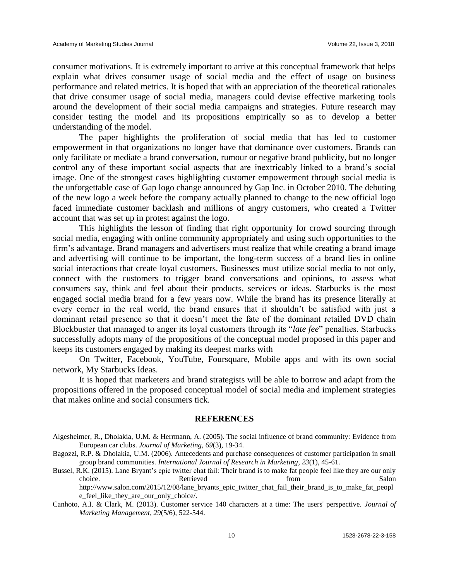consumer motivations. It is extremely important to arrive at this conceptual framework that helps explain what drives consumer usage of social media and the effect of usage on business performance and related metrics. It is hoped that with an appreciation of the theoretical rationales that drive consumer usage of social media, managers could devise effective marketing tools around the development of their social media campaigns and strategies. Future research may consider testing the model and its propositions empirically so as to develop a better understanding of the model.

The paper highlights the proliferation of social media that has led to customer empowerment in that organizations no longer have that dominance over customers. Brands can only facilitate or mediate a brand conversation, rumour or negative brand publicity, but no longer control any of these important social aspects that are inextricably linked to a brand's social image. One of the strongest cases highlighting customer empowerment through social media is the unforgettable case of Gap logo change announced by Gap Inc. in October 2010. The debuting of the new logo a week before the company actually planned to change to the new official logo faced immediate customer backlash and millions of angry customers, who created a Twitter account that was set up in protest against the logo.

This highlights the lesson of finding that right opportunity for crowd sourcing through social media, engaging with online community appropriately and using such opportunities to the firm's advantage. Brand managers and advertisers must realize that while creating a brand image and advertising will continue to be important, the long-term success of a brand lies in online social interactions that create loyal customers. Businesses must utilize social media to not only, connect with the customers to trigger brand conversations and opinions, to assess what consumers say, think and feel about their products, services or ideas. Starbucks is the most engaged social media brand for a few years now. While the brand has its presence literally at every corner in the real world, the brand ensures that it shouldn't be satisfied with just a dominant retail presence so that it doesn't meet the fate of the dominant retailed DVD chain Blockbuster that managed to anger its loyal customers through its "*late fee*" penalties. Starbucks successfully adopts many of the propositions of the conceptual model proposed in this paper and keeps its customers engaged by making its deepest marks with

On Twitter, Facebook, YouTube, Foursquare, Mobile apps and with its own social network, My Starbucks Ideas.

It is hoped that marketers and brand strategists will be able to borrow and adapt from the propositions offered in the proposed conceptual model of social media and implement strategies that makes online and social consumers tick.

#### **REFERENCES**

Algesheimer, R., Dholakia, U.M. & Herrmann, A. (2005). The social influence of brand community: Evidence from European car clubs. *Journal of Marketing, 69*(3), 19-34.

Bagozzi, R.P. & Dholakia, U.M. (2006). Antecedents and purchase consequences of customer participation in small group brand communities. *International Journal of Research in Marketing, 23*(1), 45-61.

Bussel, R.K. (2015). Lane Bryant's epic twitter chat fail: Their brand is to make fat people feel like they are our only choice. Salon Retrieved from Salon Salon Salon Retrieved from Salon Salon Salon Salon Salon Salon Salon Salon Salon Salon Salon Salon Salon Salon Salon Salon Salon Salon Salon Salon Salon Salon Salon Salon Salon Salon Salo http://www.salon.com/2015/12/08/lane\_bryants\_epic\_twitter\_chat\_fail\_their\_brand\_is\_to\_make\_fat\_peopl e\_feel\_like\_they\_are\_our\_only\_choice/.

Canhoto, A.I. & Clark, M. (2013). Customer service 140 characters at a time: The users' perspective. *Journal of Marketing Management*, *29*(5/6), 522-544.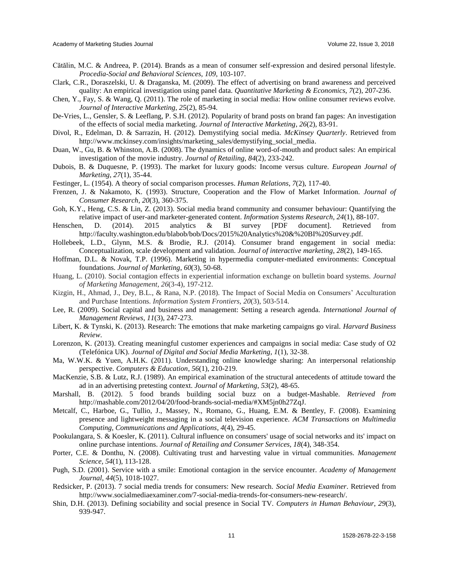- Cătălin, M.C. & Andreea, P. (2014). Brands as a mean of consumer self-expression and desired personal lifestyle. *Procedia-Social and Behavioral Sciences, 109*, 103-107.
- Clark, C.R., Doraszelski, U. & Draganska, M. (2009). The effect of advertising on brand awareness and perceived quality: An empirical investigation using panel data. *Quantitative Marketing & Economics*, *7*(2), 207-236.
- Chen, Y., Fay, S. & Wang, Q. (2011). The role of marketing in social media: How online consumer reviews evolve. *Journal of Interactive Marketing, 25*(2), 85-94.
- De-Vries, L., Gensler, S. & Leeflang, P. S.H. (2012). Popularity of brand posts on brand fan pages: An investigation of the effects of social media marketing. *Journal of Interactive Marketing*, *26*(2), 83-91.
- Divol, R., Edelman, D. & Sarrazin, H. (2012). Demystifying social media. *McKinsey Quarterly*. Retrieved from http://www.mckinsey.com/insights/marketing\_sales/demystifying\_social\_media.
- Duan, W., Gu, B. & Whinston, A.B. (2008). The dynamics of online word-of-mouth and product sales: An empirical investigation of the movie industry. *Journal of Retailing*, *84*(2), 233-242.
- Dubois, B. & Duquesne, P. (1993). The market for luxury goods: Income versus culture. *European Journal of Marketing*, *27*(1), 35-44.
- Festinger, L. (1954). A theory of social comparison processes. *Human Relations*, *7*(2), 117-40.
- Frenzen, J. & Nakamoto, K. (1993). Structure, Cooperation and the Flow of Market Information. *Journal of Consumer Research*, *20*(3), 360-375.
- Goh, K.Y., Heng, C.S. & Lin, Z. (2013). Social media brand community and consumer behaviour: Quantifying the relative impact of user-and marketer-generated content. *Information Systems Research, 24*(1), 88-107.
- Henschen, D. (2014). 2015 analytics & BI survey [PDF document]. Retrieved from [http://faculty.washington.edu/blabob/bob/Docs/2015%20Analytics%20&%20BI%20Surve](http://faculty.washington.edu/blabob/bob/Docs/2015%20Analytics%20%26%20BI%20Surv)y.pdf.
- Hollebeek, L.D., Glynn, M.S. & Brodie, R.J. (2014). Consumer brand engagement in social media: Conceptualization, scale development and validation. *Journal of interactive marketing, 28*(2), 149-165.
- Hoffman, D.L. & Novak, T.P. (1996). Marketing in hypermedia computer-mediated environments: Conceptual foundations. *Journal of Marketing*, *60*(3), 50-68.
- Huang, L. (2010). Social contagion effects in experiential information exchange on bulletin board systems. *Journal of Marketing Management*, *26*(3-4), 197-212.
- Kizgin, H., Ahmad, J., Dey, B.L., & Rana, N.P. (2018). The Impact of Social Media on Consumers' Acculturation and Purchase Intentions. *Information System Frontiers, 20*(3), 503-514.
- Lee, R. (2009). Social capital and business and management: Setting a research agenda. *International Journal of Management Reviews*, *11*(3), 247-273.
- Libert, K. & Tynski, K. (2013). Research: The emotions that make marketing campaigns go viral. *Harvard Business Review*.
- Lorenzon, K. (2013). Creating meaningful customer experiences and campaigns in social media: Case study of O2 (Telefónica UK). *Journal of Digital and Social Media Marketing, 1*(1), 32-38.
- Ma, W.W.K. & Yuen, A.H.K. (2011). Understanding online knowledge sharing: An interpersonal relationship perspective. *Computers & Education*, *56*(1), 210-219.
- MacKenzie, S.B. & Lutz, R.J. (1989). An empirical examination of the structural antecedents of attitude toward the ad in an advertising pretesting context. *Journal of Marketing*, *53*(2), 48-65.
- Marshall, B. (2012). 5 food brands building social buzz on a budget-Mashable. *Retrieved from*  http://mashable.com/2012/04/20/food-brands-social-media/#XM5jn0h27ZqJ.
- Metcalf, C., Harboe, G., Tullio, J., Massey, N., Romano, G., Huang, E.M. & Bentley, F. (2008). Examining presence and lightweight messaging in a social television experience. *ACM Transactions on Multimedia Computing, Communications and Applications*, *4*(4), 29-45.
- Pookulangara, S. & Koesler, K. (2011). Cultural influence on consumers' usage of social networks and its' impact on online purchase intentions. *Journal of Retailing and Consumer Services, 18*(4), 348-354.
- Porter, C.E. & Donthu, N. (2008). Cultivating trust and harvesting value in virtual communities. *Management Science, 54*(1), 113-128.
- Pugh, S.D. (2001). Service with a smile: Emotional contagion in the service encounter. *Academy of Management Journal*, *44*(5), 1018-1027.
- Redsicker, P. (2013). 7 social media trends for consumers: New research. *Social Media Examiner*. Retrieved from http://www.socialmediaexaminer.com/7-social-media-trends-for-consumers-new-research/.
- Shin, D.H. (2013). Defining sociability and social presence in Social TV. *Computers in Human Behaviour*, *29*(3), 939-947.